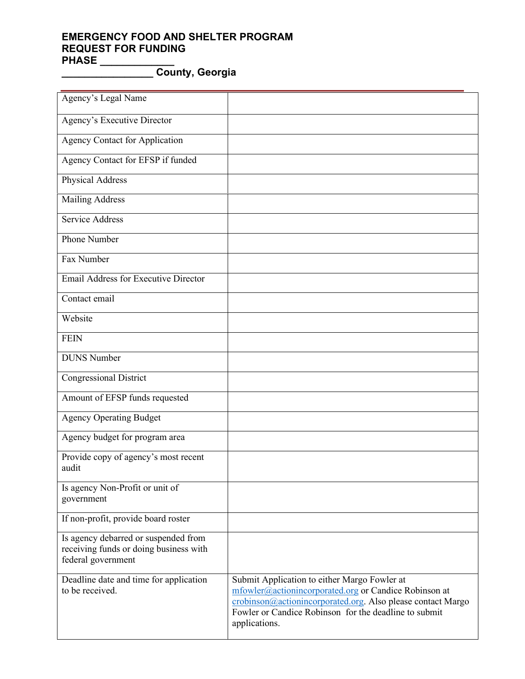## **EMERGENCY FOOD AND SHELTER PROGRAM REQUEST FOR FUNDING PHASE \_\_\_\_\_\_\_\_\_\_\_\_\_**

**\_\_\_\_\_\_\_\_\_\_\_\_\_\_\_\_ County, Georgia**

| Agency's Legal Name                                                                                  |                                                                                                                                                                                                                                                |
|------------------------------------------------------------------------------------------------------|------------------------------------------------------------------------------------------------------------------------------------------------------------------------------------------------------------------------------------------------|
| Agency's Executive Director                                                                          |                                                                                                                                                                                                                                                |
| <b>Agency Contact for Application</b>                                                                |                                                                                                                                                                                                                                                |
| Agency Contact for EFSP if funded                                                                    |                                                                                                                                                                                                                                                |
| Physical Address                                                                                     |                                                                                                                                                                                                                                                |
| <b>Mailing Address</b>                                                                               |                                                                                                                                                                                                                                                |
| Service Address                                                                                      |                                                                                                                                                                                                                                                |
| Phone Number                                                                                         |                                                                                                                                                                                                                                                |
| Fax Number                                                                                           |                                                                                                                                                                                                                                                |
| <b>Email Address for Executive Director</b>                                                          |                                                                                                                                                                                                                                                |
| Contact email                                                                                        |                                                                                                                                                                                                                                                |
| Website                                                                                              |                                                                                                                                                                                                                                                |
| <b>FEIN</b>                                                                                          |                                                                                                                                                                                                                                                |
| <b>DUNS</b> Number                                                                                   |                                                                                                                                                                                                                                                |
| <b>Congressional District</b>                                                                        |                                                                                                                                                                                                                                                |
| Amount of EFSP funds requested                                                                       |                                                                                                                                                                                                                                                |
| <b>Agency Operating Budget</b>                                                                       |                                                                                                                                                                                                                                                |
| Agency budget for program area                                                                       |                                                                                                                                                                                                                                                |
| Provide copy of agency's most recent<br>audit                                                        |                                                                                                                                                                                                                                                |
| Is agency Non-Profit or unit of<br>government                                                        |                                                                                                                                                                                                                                                |
| If non-profit, provide board roster                                                                  |                                                                                                                                                                                                                                                |
| Is agency debarred or suspended from<br>receiving funds or doing business with<br>federal government |                                                                                                                                                                                                                                                |
| Deadline date and time for application<br>to be received.                                            | Submit Application to either Margo Fowler at<br>mfowler@actionincorporated.org or Candice Robinson at<br>crobinson@actionincorporated.org. Also please contact Margo<br>Fowler or Candice Robinson for the deadline to submit<br>applications. |